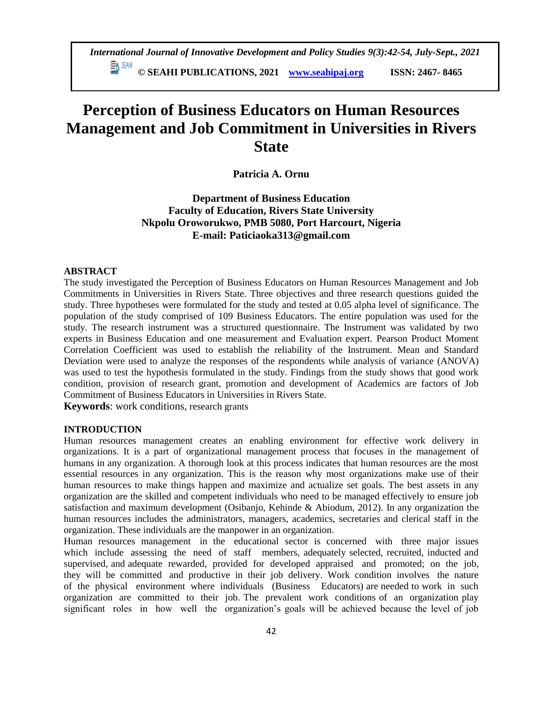**© SEAHI PUBLICATIONS, 2021 [www.seahipaj.org](http://www.seahipaj.org/) ISSN: 2467- 8465**

# **Perception of Business Educators on Human Resources Management and Job Commitment in Universities in Rivers State**

**Patricia A. Ornu**

**Department of Business Education Faculty of Education, Rivers State University Nkpolu Oroworukwo, PMB 5080, Port Harcourt, Nigeria E-mail: Paticiaoka313@gmail.com**

## **ABSTRACT**

The study investigated the Perception of Business Educators on Human Resources Management and Job Commitments in Universities in Rivers State. Three objectives and three research questions guided the study. Three hypotheses were formulated for the study and tested at 0.05 alpha level of significance. The population of the study comprised of 109 Business Educators. The entire population was used for the study. The research instrument was a structured questionnaire. The Instrument was validated by two experts in Business Education and one measurement and Evaluation expert. Pearson Product Moment Correlation Coefficient was used to establish the reliability of the Instrument. Mean and Standard Deviation were used to analyze the responses of the respondents while analysis of variance (ANOVA) was used to test the hypothesis formulated in the study. Findings from the study shows that good work condition, provision of research grant, promotion and development of Academics are factors of Job Commitment of Business Educators in Universities in Rivers State.

**Keywords**: work conditions, research grants

# **INTRODUCTION**

Human resources management creates an enabling environment for effective work delivery in organizations. It is a part of organizational management process that focuses in the management of humans in any organization. A thorough look at this process indicates that human resources are the most essential resources in any organization. This is the reason why most organizations make use of their human resources to make things happen and maximize and actualize set goals. The best assets in any organization are the skilled and competent individuals who need to be managed effectively to ensure job satisfaction and maximum development (Osibanjo, Kehinde & Abiodum, 2012). In any organization the human resources includes the administrators, managers, academics, secretaries and clerical staff in the organization. These individuals are the manpower in an organization.

Human resources management in the educational sector is concerned with three major issues which include assessing the need of staff members, adequately selected, recruited, inducted and supervised, and adequate rewarded, provided for developed appraised and promoted; on the job, they will be committed and productive in their job delivery. Work condition involves the nature of the physical environment where individuals (Business Educators) are needed to work in such organization are committed to their job. The prevalent work conditions of an organization play significant roles in how well the organization's goals will be achieved because the level of job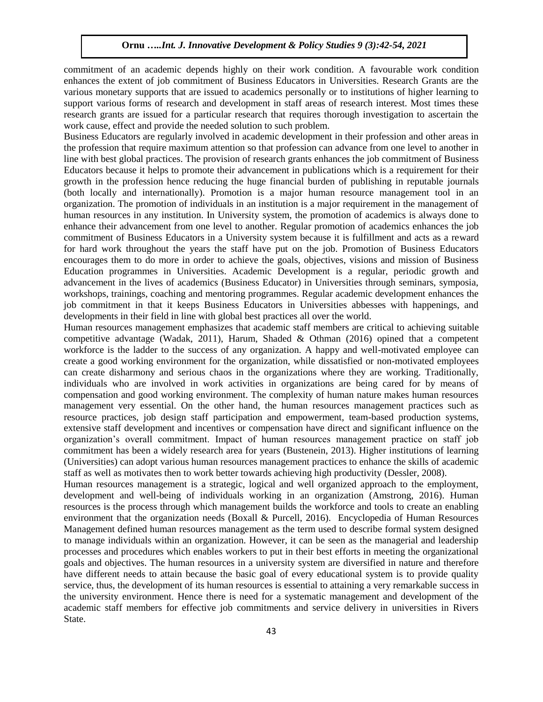commitment of an academic depends highly on their work condition. A favourable work condition enhances the extent of job commitment of Business Educators in Universities. Research Grants are the various monetary supports that are issued to academics personally or to institutions of higher learning to support various forms of research and development in staff areas of research interest. Most times these research grants are issued for a particular research that requires thorough investigation to ascertain the work cause, effect and provide the needed solution to such problem.

Business Educators are regularly involved in academic development in their profession and other areas in the profession that require maximum attention so that profession can advance from one level to another in line with best global practices. The provision of research grants enhances the job commitment of Business Educators because it helps to promote their advancement in publications which is a requirement for their growth in the profession hence reducing the huge financial burden of publishing in reputable journals (both locally and internationally). Promotion is a major human resource management tool in an organization. The promotion of individuals in an institution is a major requirement in the management of human resources in any institution. In University system, the promotion of academics is always done to enhance their advancement from one level to another. Regular promotion of academics enhances the job commitment of Business Educators in a University system because it is fulfillment and acts as a reward for hard work throughout the years the staff have put on the job. Promotion of Business Educators encourages them to do more in order to achieve the goals, objectives, visions and mission of Business Education programmes in Universities. Academic Development is a regular, periodic growth and advancement in the lives of academics (Business Educator) in Universities through seminars, symposia, workshops, trainings, coaching and mentoring programmes. Regular academic development enhances the job commitment in that it keeps Business Educators in Universities abbesses with happenings, and developments in their field in line with global best practices all over the world.

Human resources management emphasizes that academic staff members are critical to achieving suitable competitive advantage (Wadak, 2011), Harum, Shaded & Othman (2016) opined that a competent workforce is the ladder to the success of any organization. A happy and well-motivated employee can create a good working environment for the organization, while dissatisfied or non-motivated employees can create disharmony and serious chaos in the organizations where they are working. Traditionally, individuals who are involved in work activities in organizations are being cared for by means of compensation and good working environment. The complexity of human nature makes human resources management very essential. On the other hand, the human resources management practices such as resource practices, job design staff participation and empowerment, team-based production systems, extensive staff development and incentives or compensation have direct and significant influence on the organization's overall commitment. Impact of human resources management practice on staff job commitment has been a widely research area for years (Bustenein, 2013). Higher institutions of learning (Universities) can adopt various human resources management practices to enhance the skills of academic staff as well as motivates then to work better towards achieving high productivity (Dessler, 2008).

Human resources management is a strategic, logical and well organized approach to the employment, development and well-being of individuals working in an organization (Amstrong, 2016). Human resources is the process through which management builds the workforce and tools to create an enabling environment that the organization needs (Boxall & Purcell, 2016). Encyclopedia of Human Resources Management defined human resources management as the term used to describe formal system designed to manage individuals within an organization. However, it can be seen as the managerial and leadership processes and procedures which enables workers to put in their best efforts in meeting the organizational goals and objectives. The human resources in a university system are diversified in nature and therefore have different needs to attain because the basic goal of every educational system is to provide quality service, thus, the development of its human resources is essential to attaining a very remarkable success in the university environment. Hence there is need for a systematic management and development of the academic staff members for effective job commitments and service delivery in universities in Rivers State.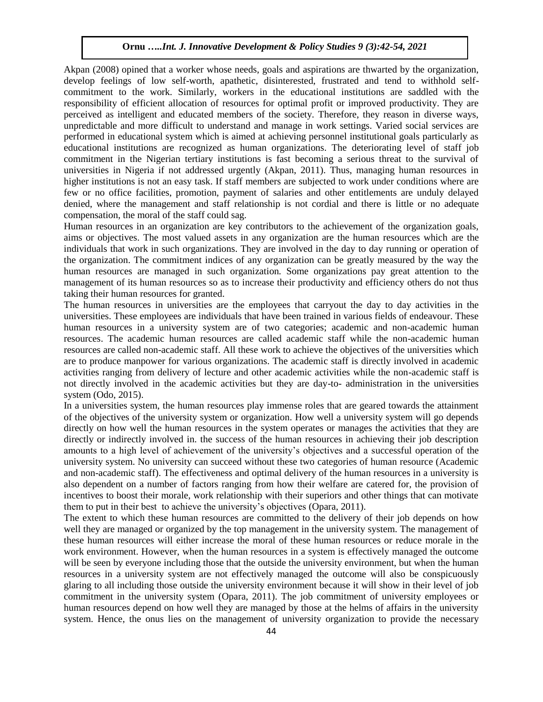Akpan (2008) opined that a worker whose needs, goals and aspirations are thwarted by the organization, develop feelings of low self-worth, apathetic, disinterested, frustrated and tend to withhold selfcommitment to the work. Similarly, workers in the educational institutions are saddled with the responsibility of efficient allocation of resources for optimal profit or improved productivity. They are perceived as intelligent and educated members of the society. Therefore, they reason in diverse ways, unpredictable and more difficult to understand and manage in work settings. Varied social services are performed in educational system which is aimed at achieving personnel institutional goals particularly as educational institutions are recognized as human organizations. The deteriorating level of staff job commitment in the Nigerian tertiary institutions is fast becoming a serious threat to the survival of universities in Nigeria if not addressed urgently (Akpan, 2011). Thus, managing human resources in higher institutions is not an easy task. If staff members are subjected to work under conditions where are few or no office facilities, promotion, payment of salaries and other entitlements are unduly delayed denied, where the management and staff relationship is not cordial and there is little or no adequate compensation, the moral of the staff could sag.

Human resources in an organization are key contributors to the achievement of the organization goals, aims or objectives. The most valued assets in any organization are the human resources which are the individuals that work in such organizations. They are involved in the day to day running or operation of the organization. The commitment indices of any organization can be greatly measured by the way the human resources are managed in such organization. Some organizations pay great attention to the management of its human resources so as to increase their productivity and efficiency others do not thus taking their human resources for granted.

The human resources in universities are the employees that carryout the day to day activities in the universities. These employees are individuals that have been trained in various fields of endeavour. These human resources in a university system are of two categories; academic and non-academic human resources. The academic human resources are called academic staff while the non-academic human resources are called non-academic staff. All these work to achieve the objectives of the universities which are to produce manpower for various organizations. The academic staff is directly involved in academic activities ranging from delivery of lecture and other academic activities while the non-academic staff is not directly involved in the academic activities but they are day-to- administration in the universities system (Odo, 2015).

In a universities system, the human resources play immense roles that are geared towards the attainment of the objectives of the university system or organization. How well a university system will go depends directly on how well the human resources in the system operates or manages the activities that they are directly or indirectly involved in. the success of the human resources in achieving their job description amounts to a high level of achievement of the university's objectives and a successful operation of the university system. No university can succeed without these two categories of human resource (Academic and non-academic staff). The effectiveness and optimal delivery of the human resources in a university is also dependent on a number of factors ranging from how their welfare are catered for, the provision of incentives to boost their morale, work relationship with their superiors and other things that can motivate them to put in their best to achieve the university's objectives (Opara, 2011).

The extent to which these human resources are committed to the delivery of their job depends on how well they are managed or organized by the top management in the university system. The management of these human resources will either increase the moral of these human resources or reduce morale in the work environment. However, when the human resources in a system is effectively managed the outcome will be seen by everyone including those that the outside the university environment, but when the human resources in a university system are not effectively managed the outcome will also be conspicuously glaring to all including those outside the university environment because it will show in their level of job commitment in the university system (Opara, 2011). The job commitment of university employees or human resources depend on how well they are managed by those at the helms of affairs in the university system. Hence, the onus lies on the management of university organization to provide the necessary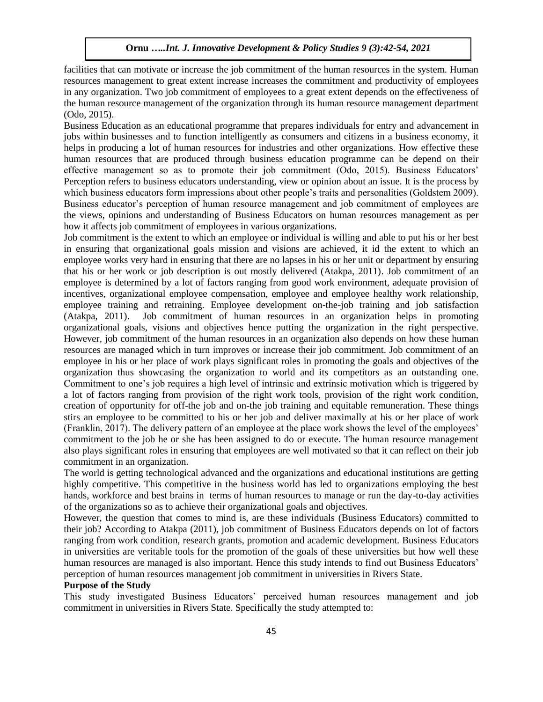facilities that can motivate or increase the job commitment of the human resources in the system. Human resources management to great extent increase increases the commitment and productivity of employees in any organization. Two job commitment of employees to a great extent depends on the effectiveness of the human resource management of the organization through its human resource management department (Odo, 2015).

Business Education as an educational programme that prepares individuals for entry and advancement in jobs within businesses and to function intelligently as consumers and citizens in a business economy, it helps in producing a lot of human resources for industries and other organizations. How effective these human resources that are produced through business education programme can be depend on their effective management so as to promote their job commitment (Odo, 2015). Business Educators' Perception refers to business educators understanding, view or opinion about an issue. It is the process by which business educators form impressions about other people's traits and personalities (Goldstem 2009). Business educator's perception of human resource management and job commitment of employees are the views, opinions and understanding of Business Educators on human resources management as per how it affects job commitment of employees in various organizations.

Job commitment is the extent to which an employee or individual is willing and able to put his or her best in ensuring that organizational goals mission and visions are achieved, it id the extent to which an employee works very hard in ensuring that there are no lapses in his or her unit or department by ensuring that his or her work or job description is out mostly delivered (Atakpa, 2011). Job commitment of an employee is determined by a lot of factors ranging from good work environment, adequate provision of incentives, organizational employee compensation, employee and employee healthy work relationship, employee training and retraining. Employee development on-the-job training and job satisfaction (Atakpa, 2011). Job commitment of human resources in an organization helps in promoting organizational goals, visions and objectives hence putting the organization in the right perspective. However, job commitment of the human resources in an organization also depends on how these human resources are managed which in turn improves or increase their job commitment. Job commitment of an employee in his or her place of work plays significant roles in promoting the goals and objectives of the organization thus showcasing the organization to world and its competitors as an outstanding one. Commitment to one's job requires a high level of intrinsic and extrinsic motivation which is triggered by a lot of factors ranging from provision of the right work tools, provision of the right work condition, creation of opportunity for off-the job and on-the job training and equitable remuneration. These things stirs an employee to be committed to his or her job and deliver maximally at his or her place of work (Franklin, 2017). The delivery pattern of an employee at the place work shows the level of the employees' commitment to the job he or she has been assigned to do or execute. The human resource management also plays significant roles in ensuring that employees are well motivated so that it can reflect on their job commitment in an organization.

The world is getting technological advanced and the organizations and educational institutions are getting highly competitive. This competitive in the business world has led to organizations employing the best hands, workforce and best brains in terms of human resources to manage or run the day-to-day activities of the organizations so as to achieve their organizational goals and objectives.

However, the question that comes to mind is, are these individuals (Business Educators) committed to their job? According to Atakpa (2011), job commitment of Business Educators depends on lot of factors ranging from work condition, research grants, promotion and academic development. Business Educators in universities are veritable tools for the promotion of the goals of these universities but how well these human resources are managed is also important. Hence this study intends to find out Business Educators' perception of human resources management job commitment in universities in Rivers State.

# **Purpose of the Study**

This study investigated Business Educators' perceived human resources management and job commitment in universities in Rivers State. Specifically the study attempted to: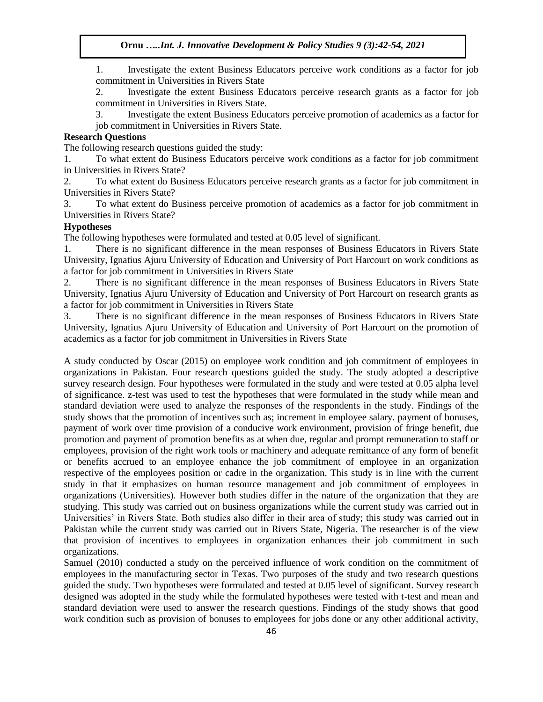1. Investigate the extent Business Educators perceive work conditions as a factor for job commitment in Universities in Rivers State

2. Investigate the extent Business Educators perceive research grants as a factor for job commitment in Universities in Rivers State.

3. Investigate the extent Business Educators perceive promotion of academics as a factor for job commitment in Universities in Rivers State.

# **Research Questions**

The following research questions guided the study:

1. To what extent do Business Educators perceive work conditions as a factor for job commitment in Universities in Rivers State?

2. To what extent do Business Educators perceive research grants as a factor for job commitment in Universities in Rivers State?

3. To what extent do Business perceive promotion of academics as a factor for job commitment in Universities in Rivers State?

## **Hypotheses**

The following hypotheses were formulated and tested at 0.05 level of significant.

1. There is no significant difference in the mean responses of Business Educators in Rivers State University, Ignatius Ajuru University of Education and University of Port Harcourt on work conditions as a factor for job commitment in Universities in Rivers State

2. There is no significant difference in the mean responses of Business Educators in Rivers State University, Ignatius Ajuru University of Education and University of Port Harcourt on research grants as a factor for job commitment in Universities in Rivers State

3. There is no significant difference in the mean responses of Business Educators in Rivers State University, Ignatius Ajuru University of Education and University of Port Harcourt on the promotion of academics as a factor for job commitment in Universities in Rivers State

A study conducted by Oscar (2015) on employee work condition and job commitment of employees in organizations in Pakistan. Four research questions guided the study. The study adopted a descriptive survey research design. Four hypotheses were formulated in the study and were tested at 0.05 alpha level of significance. z-test was used to test the hypotheses that were formulated in the study while mean and standard deviation were used to analyze the responses of the respondents in the study. Findings of the study shows that the promotion of incentives such as; increment in employee salary. payment of bonuses, payment of work over time provision of a conducive work environment, provision of fringe benefit, due promotion and payment of promotion benefits as at when due, regular and prompt remuneration to staff or employees, provision of the right work tools or machinery and adequate remittance of any form of benefit or benefits accrued to an employee enhance the job commitment of employee in an organization respective of the employees position or cadre in the organization. This study is in line with the current study in that it emphasizes on human resource management and job commitment of employees in organizations (Universities). However both studies differ in the nature of the organization that they are studying. This study was carried out on business organizations while the current study was carried out in Universities' in Rivers State. Both studies also differ in their area of study; this study was carried out in Pakistan while the current study was carried out in Rivers State, Nigeria. The researcher is of the view that provision of incentives to employees in organization enhances their job commitment in such organizations.

Samuel (2010) conducted a study on the perceived influence of work condition on the commitment of employees in the manufacturing sector in Texas. Two purposes of the study and two research questions guided the study. Two hypotheses were formulated and tested at 0.05 level of significant. Survey research designed was adopted in the study while the formulated hypotheses were tested with t-test and mean and standard deviation were used to answer the research questions. Findings of the study shows that good work condition such as provision of bonuses to employees for jobs done or any other additional activity,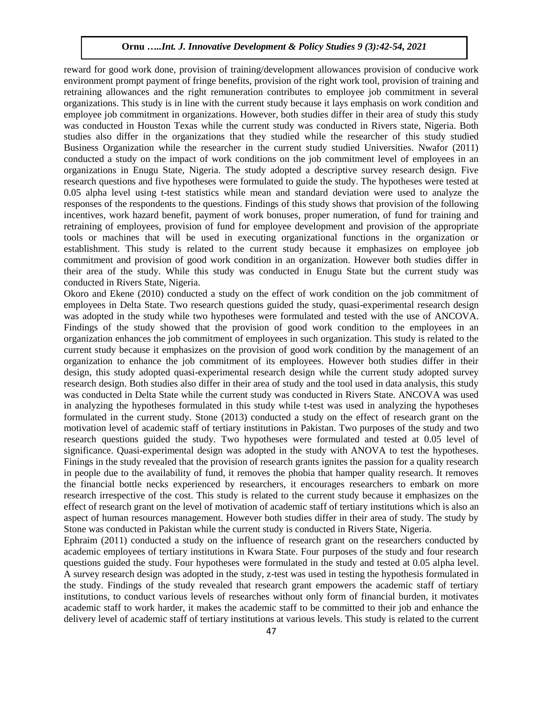reward for good work done, provision of training/development allowances provision of conducive work environment prompt payment of fringe benefits, provision of the right work tool, provision of training and retraining allowances and the right remuneration contributes to employee job commitment in several organizations. This study is in line with the current study because it lays emphasis on work condition and employee job commitment in organizations. However, both studies differ in their area of study this study was conducted in Houston Texas while the current study was conducted in Rivers state, Nigeria. Both studies also differ in the organizations that they studied while the researcher of this study studied Business Organization while the researcher in the current study studied Universities. Nwafor (2011) conducted a study on the impact of work conditions on the job commitment level of employees in an organizations in Enugu State, Nigeria. The study adopted a descriptive survey research design. Five research questions and five hypotheses were formulated to guide the study. The hypotheses were tested at 0.05 alpha level using t-test statistics while mean and standard deviation were used to analyze the responses of the respondents to the questions. Findings of this study shows that provision of the following incentives, work hazard benefit, payment of work bonuses, proper numeration, of fund for training and retraining of employees, provision of fund for employee development and provision of the appropriate tools or machines that will be used in executing organizational functions in the organization or establishment. This study is related to the current study because it emphasizes on employee job commitment and provision of good work condition in an organization. However both studies differ in their area of the study. While this study was conducted in Enugu State but the current study was conducted in Rivers State, Nigeria.

Okoro and Ekene (2010) conducted a study on the effect of work condition on the job commitment of employees in Delta State. Two research questions guided the study, quasi-experimental research design was adopted in the study while two hypotheses were formulated and tested with the use of ANCOVA. Findings of the study showed that the provision of good work condition to the employees in an organization enhances the job commitment of employees in such organization. This study is related to the current study because it emphasizes on the provision of good work condition by the management of an organization to enhance the job commitment of its employees. However both studies differ in their design, this study adopted quasi-experimental research design while the current study adopted survey research design. Both studies also differ in their area of study and the tool used in data analysis, this study was conducted in Delta State while the current study was conducted in Rivers State. ANCOVA was used in analyzing the hypotheses formulated in this study while t-test was used in analyzing the hypotheses formulated in the current study. Stone (2013) conducted a study on the effect of research grant on the motivation level of academic staff of tertiary institutions in Pakistan. Two purposes of the study and two research questions guided the study. Two hypotheses were formulated and tested at 0.05 level of significance. Quasi-experimental design was adopted in the study with ANOVA to test the hypotheses. Finings in the study revealed that the provision of research grants ignites the passion for a quality research in people due to the availability of fund, it removes the phobia that hamper quality research. It removes the financial bottle necks experienced by researchers, it encourages researchers to embark on more research irrespective of the cost. This study is related to the current study because it emphasizes on the effect of research grant on the level of motivation of academic staff of tertiary institutions which is also an aspect of human resources management. However both studies differ in their area of study. The study by Stone was conducted in Pakistan while the current study is conducted in Rivers State, Nigeria.

Ephraim (2011) conducted a study on the influence of research grant on the researchers conducted by academic employees of tertiary institutions in Kwara State. Four purposes of the study and four research questions guided the study. Four hypotheses were formulated in the study and tested at 0.05 alpha level. A survey research design was adopted in the study, z-test was used in testing the hypothesis formulated in the study. Findings of the study revealed that research grant empowers the academic staff of tertiary institutions, to conduct various levels of researches without only form of financial burden, it motivates academic staff to work harder, it makes the academic staff to be committed to their job and enhance the delivery level of academic staff of tertiary institutions at various levels. This study is related to the current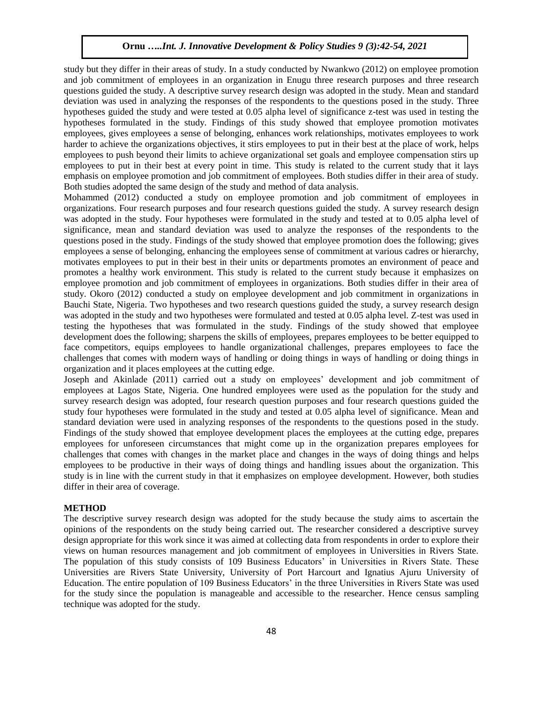study but they differ in their areas of study. In a study conducted by Nwankwo (2012) on employee promotion and job commitment of employees in an organization in Enugu three research purposes and three research questions guided the study. A descriptive survey research design was adopted in the study. Mean and standard deviation was used in analyzing the responses of the respondents to the questions posed in the study. Three hypotheses guided the study and were tested at 0.05 alpha level of significance z-test was used in testing the hypotheses formulated in the study. Findings of this study showed that employee promotion motivates employees, gives employees a sense of belonging, enhances work relationships, motivates employees to work harder to achieve the organizations objectives, it stirs employees to put in their best at the place of work, helps employees to push beyond their limits to achieve organizational set goals and employee compensation stirs up employees to put in their best at every point in time. This study is related to the current study that it lays emphasis on employee promotion and job commitment of employees. Both studies differ in their area of study. Both studies adopted the same design of the study and method of data analysis.

Mohammed (2012) conducted a study on employee promotion and job commitment of employees in organizations. Four research purposes and four research questions guided the study. A survey research design was adopted in the study. Four hypotheses were formulated in the study and tested at to 0.05 alpha level of significance, mean and standard deviation was used to analyze the responses of the respondents to the questions posed in the study. Findings of the study showed that employee promotion does the following; gives employees a sense of belonging, enhancing the employees sense of commitment at various cadres or hierarchy, motivates employees to put in their best in their units or departments promotes an environment of peace and promotes a healthy work environment. This study is related to the current study because it emphasizes on employee promotion and job commitment of employees in organizations. Both studies differ in their area of study. Okoro (2012) conducted a study on employee development and job commitment in organizations in Bauchi State, Nigeria. Two hypotheses and two research questions guided the study, a survey research design was adopted in the study and two hypotheses were formulated and tested at 0.05 alpha level. Z-test was used in testing the hypotheses that was formulated in the study. Findings of the study showed that employee development does the following; sharpens the skills of employees, prepares employees to be better equipped to face competitors, equips employees to handle organizational challenges, prepares employees to face the challenges that comes with modern ways of handling or doing things in ways of handling or doing things in organization and it places employees at the cutting edge.

Joseph and Akinlade (2011) carried out a study on employees' development and job commitment of employees at Lagos State, Nigeria. One hundred employees were used as the population for the study and survey research design was adopted, four research question purposes and four research questions guided the study four hypotheses were formulated in the study and tested at 0.05 alpha level of significance. Mean and standard deviation were used in analyzing responses of the respondents to the questions posed in the study. Findings of the study showed that employee development places the employees at the cutting edge, prepares employees for unforeseen circumstances that might come up in the organization prepares employees for challenges that comes with changes in the market place and changes in the ways of doing things and helps employees to be productive in their ways of doing things and handling issues about the organization. This study is in line with the current study in that it emphasizes on employee development. However, both studies differ in their area of coverage.

#### **METHOD**

The descriptive survey research design was adopted for the study because the study aims to ascertain the opinions of the respondents on the study being carried out. The researcher considered a descriptive survey design appropriate for this work since it was aimed at collecting data from respondents in order to explore their views on human resources management and job commitment of employees in Universities in Rivers State. The population of this study consists of 109 Business Educators' in Universities in Rivers State. These Universities are Rivers State University, University of Port Harcourt and Ignatius Ajuru University of Education. The entire population of 109 Business Educators' in the three Universities in Rivers State was used for the study since the population is manageable and accessible to the researcher. Hence census sampling technique was adopted for the study.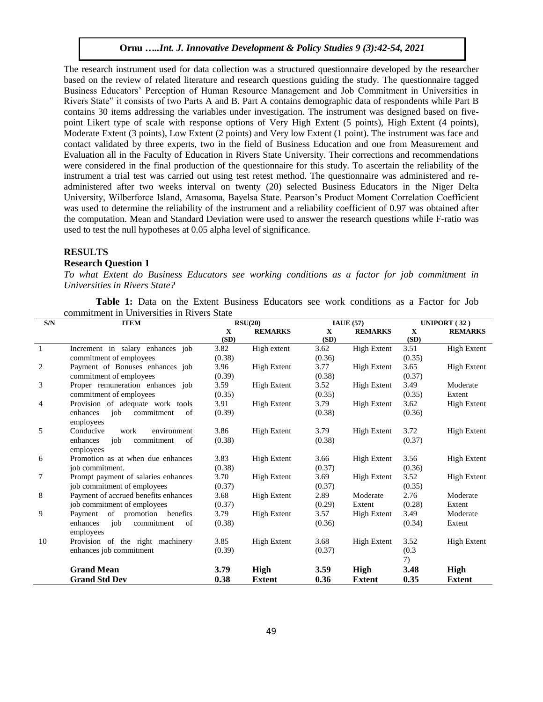The research instrument used for data collection was a structured questionnaire developed by the researcher based on the review of related literature and research questions guiding the study. The questionnaire tagged Business Educators' Perception of Human Resource Management and Job Commitment in Universities in Rivers State" it consists of two Parts A and B. Part A contains demographic data of respondents while Part B contains 30 items addressing the variables under investigation. The instrument was designed based on fivepoint Likert type of scale with response options of Very High Extent (5 points), High Extent (4 points), Moderate Extent (3 points), Low Extent (2 points) and Very low Extent (1 point). The instrument was face and contact validated by three experts, two in the field of Business Education and one from Measurement and Evaluation all in the Faculty of Education in Rivers State University. Their corrections and recommendations were considered in the final production of the questionnaire for this study. To ascertain the reliability of the instrument a trial test was carried out using test retest method. The questionnaire was administered and readministered after two weeks interval on twenty (20) selected Business Educators in the Niger Delta University, Wilberforce Island, Amasoma, Bayelsa State. Pearson's Product Moment Correlation Coefficient was used to determine the reliability of the instrument and a reliability coefficient of 0.97 was obtained after the computation. Mean and Standard Deviation were used to answer the research questions while F-ratio was used to test the null hypotheses at 0.05 alpha level of significance.

### **RESULTS**

## **Research Question 1**

*To what Extent do Business Educators see working conditions as a factor for job commitment in Universities in Rivers State?*

**Table 1:** Data on the Extent Business Educators see work conditions as a Factor for Job commitment in Universities in Rivers State

| S/N          | <b>ITEM</b>                                      |             | RSU(20)            |              | IAUE(57)           |             | UNIPORT $(32)$ |  |
|--------------|--------------------------------------------------|-------------|--------------------|--------------|--------------------|-------------|----------------|--|
|              |                                                  | $\mathbf X$ | <b>REMARKS</b>     | $\mathbf{X}$ | <b>REMARKS</b>     | $\mathbf X$ | <b>REMARKS</b> |  |
|              |                                                  | (SD)        |                    | (SD)         |                    | (SD)        |                |  |
| $\mathbf{1}$ | Increment in salary enhances job                 | 3.82        | High extent        | 3.62         | <b>High Extent</b> | 3.51        | High Extent    |  |
|              | commitment of employees                          | (0.38)      |                    | (0.36)       |                    | (0.35)      |                |  |
| 2            | Payment of Bonuses enhances job                  | 3.96        | <b>High Extent</b> | 3.77         | High Extent        | 3.65        | High Extent    |  |
|              | commitment of employees                          | (0.39)      |                    | (0.38)       |                    | (0.37)      |                |  |
| 3            | Proper remuneration enhances job                 | 3.59        | <b>High Extent</b> | 3.52         | <b>High Extent</b> | 3.49        | Moderate       |  |
|              | commitment of employees                          | (0.35)      |                    | (0.35)       |                    | (0.35)      | Extent         |  |
| 4            | Provision of adequate work tools                 | 3.91        | <b>High Extent</b> | 3.79         | <b>High Extent</b> | 3.62        | High Extent    |  |
|              | enhances<br>job<br>commitment<br>of<br>employees | (0.39)      |                    | (0.38)       |                    | (0.36)      |                |  |
| 5            | Conducive<br>work<br>environment                 | 3.86        | <b>High Extent</b> | 3.79         | High Extent        | 3.72        | High Extent    |  |
|              | commitment<br>enhances<br>job<br>of              | (0.38)      |                    | (0.38)       |                    | (0.37)      |                |  |
|              | employees                                        |             |                    |              |                    |             |                |  |
| 6            | Promotion as at when due enhances                | 3.83        | <b>High Extent</b> | 3.66         | <b>High Extent</b> | 3.56        | High Extent    |  |
|              | job commitment.                                  | (0.38)      |                    | (0.37)       |                    | (0.36)      |                |  |
| 7            | Prompt payment of salaries enhances              | 3.70        | <b>High Extent</b> | 3.69         | <b>High Extent</b> | 3.52        | High Extent    |  |
|              | job commitment of employees                      | (0.37)      |                    | (0.37)       |                    | (0.35)      |                |  |
| 8            | Payment of accrued benefits enhances             | 3.68        | <b>High Extent</b> | 2.89         | Moderate           | 2.76        | Moderate       |  |
|              | job commitment of employees                      | (0.37)      |                    | (0.29)       | Extent             | (0.28)      | Extent         |  |
| 9            | Payment of promotion benefits                    | 3.79        | <b>High Extent</b> | 3.57         | <b>High Extent</b> | 3.49        | Moderate       |  |
|              | enhances<br>job<br>commitment<br>of<br>employees | (0.38)      |                    | (0.36)       |                    | (0.34)      | Extent         |  |
| 10           | Provision of the right machinery                 | 3.85        | <b>High Extent</b> | 3.68         | High Extent        | 3.52        | High Extent    |  |
|              | enhances job commitment                          | (0.39)      |                    | (0.37)       |                    | (0.3)       |                |  |
|              |                                                  |             |                    |              |                    | 7)          |                |  |
|              | <b>Grand Mean</b>                                | 3.79        | <b>High</b>        | 3.59         | High               | 3.48        | <b>High</b>    |  |
|              | <b>Grand Std Dev</b>                             | 0.38        | <b>Extent</b>      | 0.36         | <b>Extent</b>      | 0.35        | <b>Extent</b>  |  |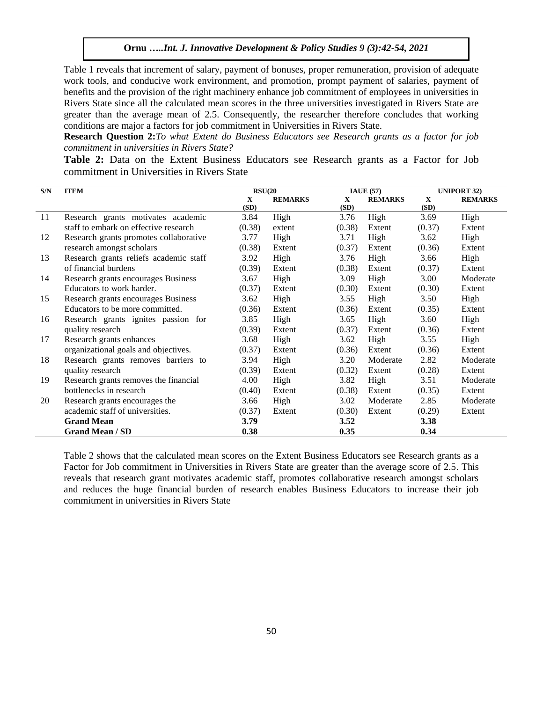Table 1 reveals that increment of salary, payment of bonuses, proper remuneration, provision of adequate work tools, and conducive work environment, and promotion, prompt payment of salaries, payment of benefits and the provision of the right machinery enhance job commitment of employees in universities in Rivers State since all the calculated mean scores in the three universities investigated in Rivers State are greater than the average mean of 2.5. Consequently, the researcher therefore concludes that working conditions are major a factors for job commitment in Universities in Rivers State.

**Research Question 2:***To what Extent do Business Educators see Research grants as a factor for job commitment in universities in Rivers State?*

**Table 2:** Data on the Extent Business Educators see Research grants as a Factor for Job commitment in Universities in Rivers State

| S/N | <b>ITEM</b>                            | RSU(20)   |                |           | <b>IAUE</b> (57) | <b>UNIPORT 32)</b> |                |
|-----|----------------------------------------|-----------|----------------|-----------|------------------|--------------------|----------------|
|     |                                        | X<br>(SD) | <b>REMARKS</b> | X<br>(SD) | <b>REMARKS</b>   | X<br>(SD)          | <b>REMARKS</b> |
| 11  | Research grants motivates academic     | 3.84      | High           | 3.76      | High             | 3.69               | High           |
|     | staff to embark on effective research  | (0.38)    | extent         | (0.38)    | Extent           | (0.37)             | Extent         |
| 12  | Research grants promotes collaborative | 3.77      | High           | 3.71      | High             | 3.62               | High           |
|     | research amongst scholars              | (0.38)    | Extent         | (0.37)    | Extent           | (0.36)             | Extent         |
| 13  | Research grants reliefs academic staff | 3.92      | High           | 3.76      | High             | 3.66               | High           |
|     | of financial burdens                   | (0.39)    | Extent         | (0.38)    | Extent           | (0.37)             | Extent         |
| 14  | Research grants encourages Business    | 3.67      | High           | 3.09      | High             | 3.00               | Moderate       |
|     | Educators to work harder.              | (0.37)    | Extent         | (0.30)    | Extent           | (0.30)             | Extent         |
| 15  | Research grants encourages Business    | 3.62      | High           | 3.55      | High             | 3.50               | High           |
|     | Educators to be more committed.        | (0.36)    | Extent         | (0.36)    | Extent           | (0.35)             | Extent         |
| 16  | Research grants ignites passion for    | 3.85      | High           | 3.65      | High             | 3.60               | High           |
|     | quality research                       | (0.39)    | Extent         | (0.37)    | Extent           | (0.36)             | Extent         |
| 17  | Research grants enhances               | 3.68      | High           | 3.62      | High             | 3.55               | High           |
|     | organizational goals and objectives.   | (0.37)    | Extent         | (0.36)    | Extent           | (0.36)             | Extent         |
| 18  | Research grants removes barriers to    | 3.94      | High           | 3.20      | Moderate         | 2.82               | Moderate       |
|     | quality research                       | (0.39)    | Extent         | (0.32)    | Extent           | (0.28)             | Extent         |
| 19  | Research grants removes the financial  | 4.00      | High           | 3.82      | High             | 3.51               | Moderate       |
|     | bottlenecks in research                | (0.40)    | Extent         | (0.38)    | Extent           | (0.35)             | Extent         |
| 20  | Research grants encourages the         | 3.66      | High           | 3.02      | Moderate         | 2.85               | Moderate       |
|     | academic staff of universities.        | (0.37)    | Extent         | (0.30)    | Extent           | (0.29)             | Extent         |
|     | <b>Grand Mean</b>                      | 3.79      |                | 3.52      |                  | <b>3.38</b>        |                |
|     | <b>Grand Mean / SD</b>                 | 0.38      |                | 0.35      |                  | 0.34               |                |

Table 2 shows that the calculated mean scores on the Extent Business Educators see Research grants as a Factor for Job commitment in Universities in Rivers State are greater than the average score of 2.5. This reveals that research grant motivates academic staff, promotes collaborative research amongst scholars and reduces the huge financial burden of research enables Business Educators to increase their job commitment in universities in Rivers State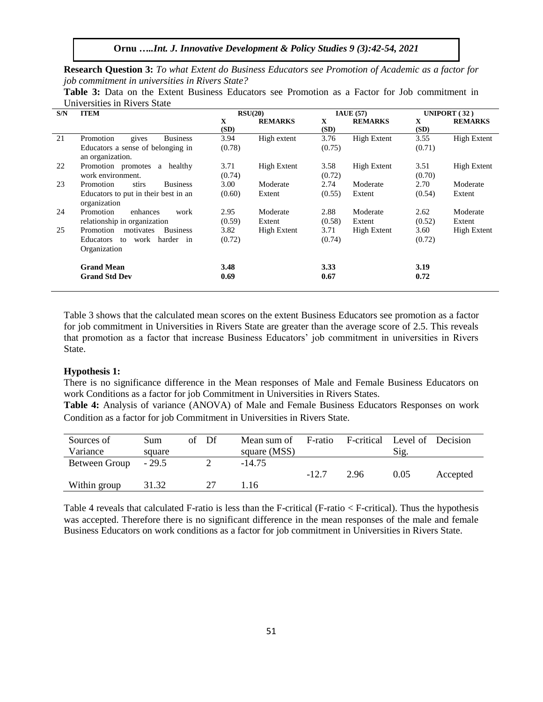**Research Question 3:** *To what Extent do Business Educators see Promotion of Academic as a factor for job commitment in universities in Rivers State?*

**Table 3:** Data on the Extent Business Educators see Promotion as a Factor for Job commitment in Universities in Rivers State

| S/N | <b>ITEM</b>                                           |        | RSU(20)        |        | <b>IAUE</b> (57)   |        | UNIPORT $(32)$     |
|-----|-------------------------------------------------------|--------|----------------|--------|--------------------|--------|--------------------|
|     |                                                       | X      | <b>REMARKS</b> | X      | <b>REMARKS</b>     | X      | <b>REMARKS</b>     |
|     |                                                       | (SD)   |                | (SD)   |                    | (SD)   |                    |
| 21  | Promotion<br>gives<br><b>Business</b>                 | 3.94   | High extent    | 3.76   | <b>High Extent</b> | 3.55   | <b>High Extent</b> |
|     | Educators a sense of belonging in<br>an organization. | (0.78) |                | (0.75) |                    | (0.71) |                    |
| 22  | Promotion promotes<br>a healthy                       | 3.71   | High Extent    | 3.58   | High Extent        | 3.51   | <b>High Extent</b> |
|     | work environment.                                     | (0.74) |                | (0.72) |                    | (0.70) |                    |
| 23  | Promotion<br><b>Business</b><br>stirs                 | 3.00   | Moderate       | 2.74   | Moderate           | 2.70   | Moderate           |
|     | Educators to put in their best in an<br>organization  | (0.60) | Extent         | (0.55) | Extent             | (0.54) | Extent             |
| 24  | Promotion<br>enhances<br>work                         | 2.95   | Moderate       | 2.88   | Moderate           | 2.62   | Moderate           |
|     | relationship in organization                          | (0.59) | Extent         | (0.58) | Extent             | (0.52) | Extent             |
| 25  | Promotion<br>motivates<br><b>Business</b>             | 3.82   | High Extent    | 3.71   | <b>High Extent</b> | 3.60   | <b>High Extent</b> |
|     | work harder in<br>Educators<br>to                     | (0.72) |                | (0.74) |                    | (0.72) |                    |
|     | Organization                                          |        |                |        |                    |        |                    |
|     | <b>Grand Mean</b>                                     | 3.48   |                | 3.33   |                    | 3.19   |                    |
|     | <b>Grand Std Dev</b>                                  | 0.69   |                | 0.67   |                    | 0.72   |                    |

Table 3 shows that the calculated mean scores on the extent Business Educators see promotion as a factor for job commitment in Universities in Rivers State are greater than the average score of 2.5. This reveals that promotion as a factor that increase Business Educators' job commitment in universities in Rivers State.

#### **Hypothesis 1:**

There is no significance difference in the Mean responses of Male and Female Business Educators on work Conditions as a factor for job Commitment in Universities in Rivers States.

**Table 4:** Analysis of variance (ANOVA) of Male and Female Business Educators Responses on work Condition as a factor for job Commitment in Universities in Rivers State.

| Sources of    | Sum     | Df<br>of | Mean sum of  | F-ratio | F-critical | Level of Decision |          |
|---------------|---------|----------|--------------|---------|------------|-------------------|----------|
| Variance      | square  |          | square (MSS) |         |            | Sig.              |          |
| Between Group | $-29.5$ |          | $-14.75$     |         |            |                   |          |
|               |         |          |              | $-12.7$ | 2.96       | 0.05              | Accepted |
| Within group  | 31.32   |          | 1.16         |         |            |                   |          |

Table 4 reveals that calculated F-ratio is less than the F-critical (F-ratio < F-critical). Thus the hypothesis was accepted. Therefore there is no significant difference in the mean responses of the male and female Business Educators on work conditions as a factor for job commitment in Universities in Rivers State.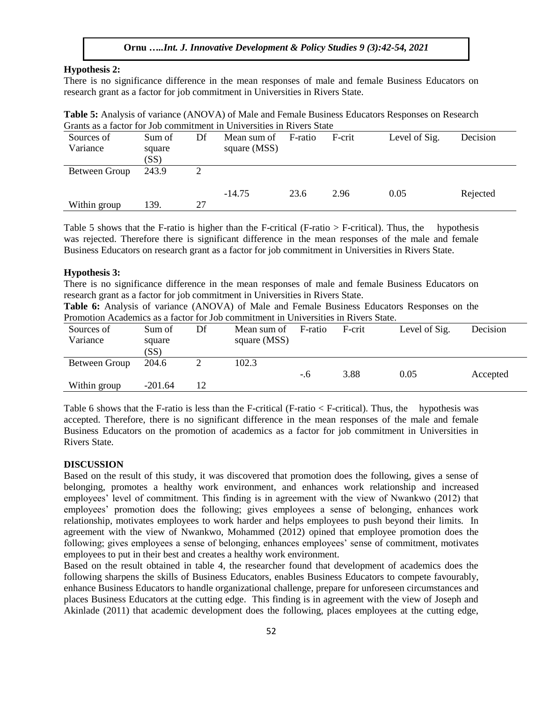## **Hypothesis 2:**

There is no significance difference in the mean responses of male and female Business Educators on research grant as a factor for job commitment in Universities in Rivers State.

| <b>Table 5:</b> Analysis of variance (ANOVA) of Male and Female Business Educators Responses on Research |  |
|----------------------------------------------------------------------------------------------------------|--|
| Grants as a factor for Job commitment in Universities in Rivers State                                    |  |

| Sources of<br>Variance | Sum of<br>square<br>(SS) | Df | Mean sum of<br>square (MSS) | F-ratio | F-crit | Level of Sig. | Decision |
|------------------------|--------------------------|----|-----------------------------|---------|--------|---------------|----------|
| Between Group          | 243.9                    |    |                             |         |        |               |          |
| Within group           | 139.                     | 27 | $-14.75$                    | 23.6    | 2.96   | 0.05          | Rejected |

Table 5 shows that the F-ratio is higher than the F-critical (F-ratio  $>$  F-critical). Thus, the hypothesis was rejected. Therefore there is significant difference in the mean responses of the male and female Business Educators on research grant as a factor for job commitment in Universities in Rivers State.

## **Hypothesis 3:**

There is no significance difference in the mean responses of male and female Business Educators on research grant as a factor for job commitment in Universities in Rivers State.

**Table 6:** Analysis of variance (ANOVA) of Male and Female Business Educators Responses on the Promotion Academics as a factor for Job commitment in Universities in Rivers State.

| Sources of<br>Variance | Sum of<br>square<br>(SS) | Df | Mean sum of<br>square (MSS) | F-ratio | F-crit | Level of Sig. | Decision |
|------------------------|--------------------------|----|-----------------------------|---------|--------|---------------|----------|
| Between Group          | 204.6                    |    | 102.3                       | $-.6$   | 3.88   | 0.05          | Accepted |
| Within group           | $-201.64$                | 12 |                             |         |        |               |          |

Table 6 shows that the F-ratio is less than the F-critical (F-ratio < F-critical). Thus, the hypothesis was accepted. Therefore, there is no significant difference in the mean responses of the male and female Business Educators on the promotion of academics as a factor for job commitment in Universities in Rivers State.

#### **DISCUSSION**

Based on the result of this study, it was discovered that promotion does the following, gives a sense of belonging, promotes a healthy work environment, and enhances work relationship and increased employees' level of commitment. This finding is in agreement with the view of Nwankwo (2012) that employees' promotion does the following; gives employees a sense of belonging, enhances work relationship, motivates employees to work harder and helps employees to push beyond their limits. In agreement with the view of Nwankwo, Mohammed (2012) opined that employee promotion does the following; gives employees a sense of belonging, enhances employees' sense of commitment, motivates employees to put in their best and creates a healthy work environment.

Based on the result obtained in table 4, the researcher found that development of academics does the following sharpens the skills of Business Educators, enables Business Educators to compete favourably, enhance Business Educators to handle organizational challenge, prepare for unforeseen circumstances and places Business Educators at the cutting edge. This finding is in agreement with the view of Joseph and Akinlade (2011) that academic development does the following, places employees at the cutting edge,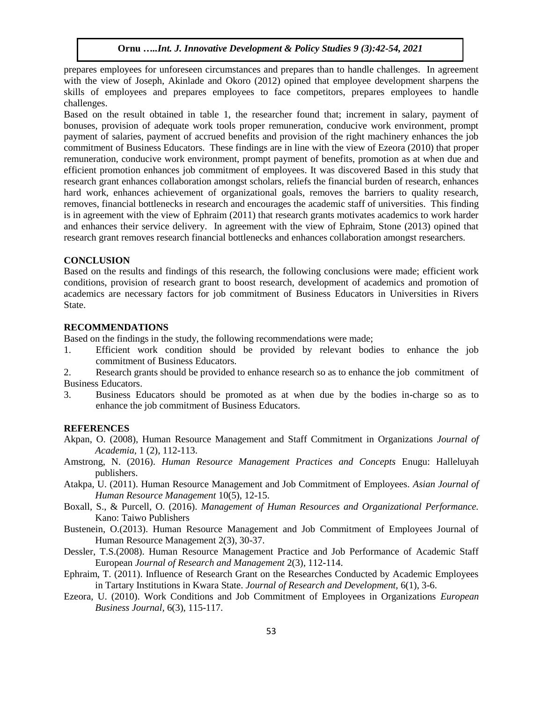prepares employees for unforeseen circumstances and prepares than to handle challenges. In agreement with the view of Joseph, Akinlade and Okoro (2012) opined that employee development sharpens the skills of employees and prepares employees to face competitors, prepares employees to handle challenges.

Based on the result obtained in table 1, the researcher found that; increment in salary, payment of bonuses, provision of adequate work tools proper remuneration, conducive work environment, prompt payment of salaries, payment of accrued benefits and provision of the right machinery enhances the job commitment of Business Educators. These findings are in line with the view of Ezeora (2010) that proper remuneration, conducive work environment, prompt payment of benefits, promotion as at when due and efficient promotion enhances job commitment of employees. It was discovered Based in this study that research grant enhances collaboration amongst scholars, reliefs the financial burden of research, enhances hard work, enhances achievement of organizational goals, removes the barriers to quality research, removes, financial bottlenecks in research and encourages the academic staff of universities. This finding is in agreement with the view of Ephraim (2011) that research grants motivates academics to work harder and enhances their service delivery. In agreement with the view of Ephraim, Stone (2013) opined that research grant removes research financial bottlenecks and enhances collaboration amongst researchers.

## **CONCLUSION**

Based on the results and findings of this research, the following conclusions were made; efficient work conditions, provision of research grant to boost research, development of academics and promotion of academics are necessary factors for job commitment of Business Educators in Universities in Rivers State.

## **RECOMMENDATIONS**

Based on the findings in the study, the following recommendations were made;

- 1. Efficient work condition should be provided by relevant bodies to enhance the job commitment of Business Educators.
- 2. Research grants should be provided to enhance research so as to enhance the job commitment of Business Educators.
- 3. Business Educators should be promoted as at when due by the bodies in-charge so as to enhance the job commitment of Business Educators.

### **REFERENCES**

- Akpan, O. (2008), Human Resource Management and Staff Commitment in Organizations *Journal of Academia,* 1 (2), 112-113.
- Amstrong, N. (2016). *Human Resource Management Practices and Concepts* Enugu: Halleluyah publishers.
- Atakpa, U. (2011). Human Resource Management and Job Commitment of Employees. *Asian Journal of Human Resource Management* 10(5), 12-15.
- Boxall, S., & Purcell, O. (2016). *Management of Human Resources and Organizational Performance.* Kano: Taiwo Publishers
- Bustenein, O.(2013). Human Resource Management and Job Commitment of Employees Journal of Human Resource Management 2(3), 30-37.
- Dessler, T.S.(2008). Human Resource Management Practice and Job Performance of Academic Staff European *Journal of Research and Management* 2(3), 112-114.
- Ephraim, T. (2011). Influence of Research Grant on the Researches Conducted by Academic Employees in Tartary Institutions in Kwara State. *Journal of Research and Development,* 6(1), 3-6.
- Ezeora, U. (2010). Work Conditions and Job Commitment of Employees in Organizations *European Business Journal,* 6(3), 115-117.